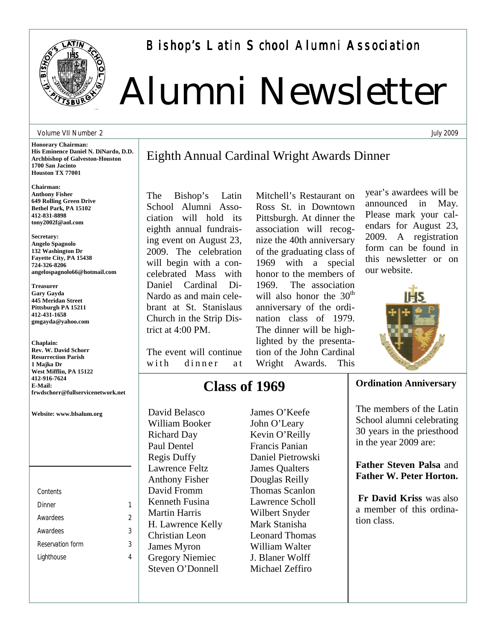

Bishop's Latin School Alumni Association

# Alumni Newsletter

#### Volume VII Number 2

**Honorary Chairman: His Eminence Daniel N. DiNardo, D.D. Archbishop of Galveston-Houston 1700 San Jacinto Houston TX 77001** 

**Chairman: Anthony Fisher 649 Rolling Green Drive Bethel Park, PA 15102 412-831-8898 tony2002f@aol.com** 

**Secretary: Angelo Spagnolo 132 Washington Dr Fayette City, PA 15438 724-326-8206 angelospagnolo66@hotmail.com** 

**Treasurer Gary Gayda 445 Meridan Street Pittsburgh PA 15211 412-431-1658 gmgayda@yahoo.com** 

**Chaplain: Rev. W. David Schorr Resurrection Parish 1 Majka Dr West Mifflin, PA 15122 412-916-7624 E-Mail: frwdschorr@fullservicenetwork.net** 

**Website: www.blsalum.org**

*Contents Dinner 1 Awardees 2 Awardees 3 Reservation form 3 Lighthouse 4* 

## Eighth Annual Cardinal Wright Awards Dinner

The Bishop's Latin School Alumni Association will hold its eighth annual fundraising event on August 23, 2009. The celebration will begin with a concelebrated Mass with Daniel Cardinal Di-Nardo as and main celebrant at St. Stanislaus Church in the Strip District at 4:00 PM.

The event will continue with dinner at

**Class of 1969**

David Belasco William Booker Richard Day Paul Dentel Regis Duffy Lawrence Feltz Anthony Fisher David Fromm Kenneth Fusina Martin Harris H. Lawrence Kelly Christian Leon James Myron Gregory Niemiec Steven O'Donnell

James O'Keefe John O'Leary Kevin O'Reilly Francis Panian Daniel Pietrowski James Qualters Douglas Reilly Thomas Scanlon Lawrence Scholl Wilbert Snyder Mark Stanisha Leonard Thomas William Walter J. Blaner Wolff Michael Zeffiro

Mitchell's Restaurant on Ross St. in Downtown Pittsburgh. At dinner the association will recognize the 40th anniversary of the graduating class of 1969 with a special honor to the members of 1969. The association will also honor the  $30<sup>th</sup>$ anniversary of the ordination class of 1979. The dinner will be highlighted by the presentation of the John Cardinal Wright Awards. This

year's awardees will be announced in May. Please mark your calendars for August 23, 2009. A registration form can be found in this newsletter or on our website.



#### **Ordination Anniversary**

The members of the Latin School alumni celebrating 30 years in the priesthood in the year 2009 are:

**Father Steven Palsa** and **Father W. Peter Horton.**

**Fr David Kriss** was also a member of this ordination class.

July 2009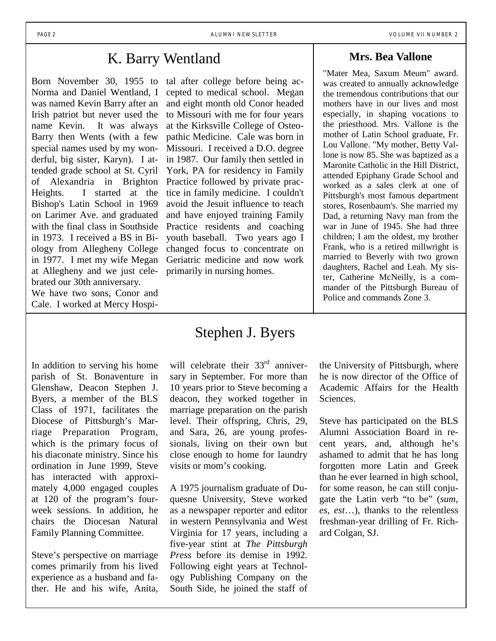#### K. Barry Wentland

Born November 30, 1955 to Norma and Daniel Wentland, I was named Kevin Barry after an Irish patriot but never used the name Kevin. It was always Barry then Wents (with a few special names used by my wonderful, big sister, Karyn). I attended grade school at St. Cyril of Alexandria in Brighton Heights. I started at the Bishop's Latin School in 1969 on Larimer Ave. and graduated with the final class in Southside in 1973. I received a BS in Biology from Allegheny College in 1977. I met my wife Megan at Allegheny and we just celebrated our 30th anniversary.

We have two sons, Conor and Cale. I worked at Mercy Hospi-

In addition to serving his home parish of St. Bonaventure in Glenshaw, Deacon Stephen J. Byers, a member of the BLS Class of 1971, facilitates the Diocese of Pittsburgh's Marriage Preparation Program, which is the primary focus of his diaconate ministry. Since his ordination in June 1999, Steve has interacted with approximately 4,000 engaged couples at 120 of the program's fourweek sessions. In addition, he chairs the Diocesan Natural Family Planning Committee.

Steve's perspective on marriage comes primarily from his lived experience as a husband and father. He and his wife, Anita, tal after college before being accepted to medical school. Megan and eight month old Conor headed to Missouri with me for four years at the Kirksville College of Osteopathic Medicine. Cale was born in Missouri. I received a D.O. degree in 1987. Our family then settled in York, PA for residency in Family Practice followed by private practice in family medicine. I couldn't avoid the Jesuit influence to teach and have enjoyed training Family Practice residents and coaching youth baseball. Two years ago I changed focus to concentrate on Geriatric medicine and now work primarily in nursing homes.

#### **Mrs. Bea Vallone**

"Mater Mea, Saxum Meum" award. was created to annually acknowledge the tremendous contributions that our mothers have in our lives and most especially, in shaping vocations to the priesthood. Mrs. Vallone is the mother of Latin School graduate, Fr. Lou Vallone. "My mother, Betty Vallone is now 85. She was baptized as a Maronite Catholic in the Hill District, attended Epiphany Grade School and worked as a sales clerk at one of Pittsburgh's most famous department stores, Rosenbaum's. She married my Dad, a returning Navy man from the war in June of 1945. She had three children; I am the oldest, my brother Frank, who is a retired millwright is married to Beverly with two grown daughters, Rachel and Leah. My sister, Catherine McNeilly, is a commander of the Pittsburgh Bureau of Police and commands Zone 3.

#### Stephen J. Byers

will celebrate their  $33<sup>rd</sup>$  anniversary in September. For more than 10 years prior to Steve becoming a deacon, they worked together in marriage preparation on the parish level. Their offspring, Chris, 29, and Sara, 26, are young professionals, living on their own but close enough to home for laundry visits or mom's cooking.

A 1975 journalism graduate of Duquesne University, Steve worked as a newspaper reporter and editor in western Pennsylvania and West Virginia for 17 years, including a five-year stint at *The Pittsburgh Press* before its demise in 1992. Following eight years at Technology Publishing Company on the South Side, he joined the staff of the University of Pittsburgh, where he is now director of the Office of Academic Affairs for the Health Sciences.

Steve has participated on the BLS Alumni Association Board in recent years, and, although he's ashamed to admit that he has long forgotten more Latin and Greek than he ever learned in high school, for some reason, he can still conjugate the Latin verb "to be" (*sum, es, est*…), thanks to the relentless freshman-year drilling of Fr. Richard Colgan, SJ.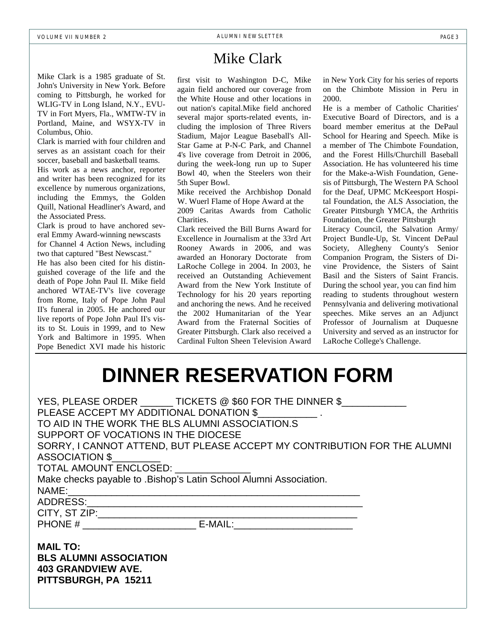Mike Clark is a 1985 graduate of St. John's University in New York. Before coming to Pittsburgh, he worked for WLIG-TV in Long Island, N.Y., EVU-TV in Fort Myers, Fla., WMTW-TV in Portland, Maine, and WSYX-TV in Columbus, Ohio.

Clark is married with four children and serves as an assistant coach for their soccer, baseball and basketball teams.

His work as a news anchor, reporter and writer has been recognized for its excellence by numerous organizations, including the Emmys, the Golden Quill, National Headliner's Award, and the Associated Press.

Clark is proud to have anchored several Emmy Award-winning newscasts for Channel 4 Action News, including two that captured "Best Newscast." He has also been cited for his distinguished coverage of the life and the death of Pope John Paul II. Mike field anchored WTAE-TV's live coverage from Rome, Italy of Pope John Paul II's funeral in 2005. He anchored our live reports of Pope John Paul II's visits to St. Louis in 1999, and to New York and Baltimore in 1995. When Pope Benedict XVI made his historic

### Mike Clark

first visit to Washington D-C, Mike again field anchored our coverage from the White House and other locations in out nation's capital.Mike field anchored several major sports-related events, including the implosion of Three Rivers Stadium, Major League Baseball's All-Star Game at P-N-C Park, and Channel 4's live coverage from Detroit in 2006, during the week-long run up to Super Bowl 40, when the Steelers won their 5th Super Bowl.

Mike received the Archbishop Donald W. Wuerl Flame of Hope Award at the 2009 Caritas Awards from Catholic

Charities.

Clark received the Bill Burns Award for Excellence in Journalism at the 33rd Art Rooney Awards in 2006, and was awarded an Honorary Doctorate from LaRoche College in 2004. In 2003, he received an Outstanding Achievement Award from the New York Institute of Technology for his 20 years reporting and anchoring the news. And he received the 2002 Humanitarian of the Year Award from the Fraternal Socities of Greater Pittsburgh. Clark also received a Cardinal Fulton Sheen Television Award

in New York City for his series of reports on the Chimbote Mission in Peru in 2000.

He is a member of Catholic Charities' Executive Board of Directors, and is a board member emeritus at the DePaul School for Hearing and Speech. Mike is a member of The Chimbote Foundation, and the Forest Hills/Churchill Baseball Association. He has volunteered his time for the Make-a-Wish Foundation, Genesis of Pittsburgh, The Western PA School for the Deaf, UPMC McKeesport Hospital Foundation, the ALS Association, the Greater Pittsburgh YMCA, the Arthritis Foundation, the Greater Pittsburgh

Literacy Council, the Salvation Army/ Project Bundle-Up, St. Vincent DePaul Society, Allegheny County's Senior Companion Program, the Sisters of Divine Providence, the Sisters of Saint Basil and the Sisters of Saint Francis. During the school year, you can find him reading to students throughout western Pennsylvania and delivering motivational speeches. Mike serves an an Adjunct Professor of Journalism at Duquesne University and served as an instructor for LaRoche College's Challenge.

## **DINNER RESERVATION FORM**

| YES, PLEASE ORDER ______TICKETS @ \$60 FOR THE DINNER \$                 |
|--------------------------------------------------------------------------|
| PLEASE ACCEPT MY ADDITIONAL DONATION \$                                  |
| TO AID IN THE WORK THE BLS ALUMNI ASSOCIATION.S                          |
| SUPPORT OF VOCATIONS IN THE DIOCESE                                      |
| SORRY, I CANNOT ATTEND, BUT PLEASE ACCEPT MY CONTRIBUTION FOR THE ALUMNI |
| ASSOCIATION \$                                                           |
| TOTAL AMOUNT ENCLOSED:                                                   |
| Make checks payable to .Bishop's Latin School Alumni Association.        |
| NAME:                                                                    |
|                                                                          |
|                                                                          |
|                                                                          |
|                                                                          |

**MAIL TO: BLS ALUMNI ASSOCIATION 403 GRANDVIEW AVE. PITTSBURGH, PA 15211**